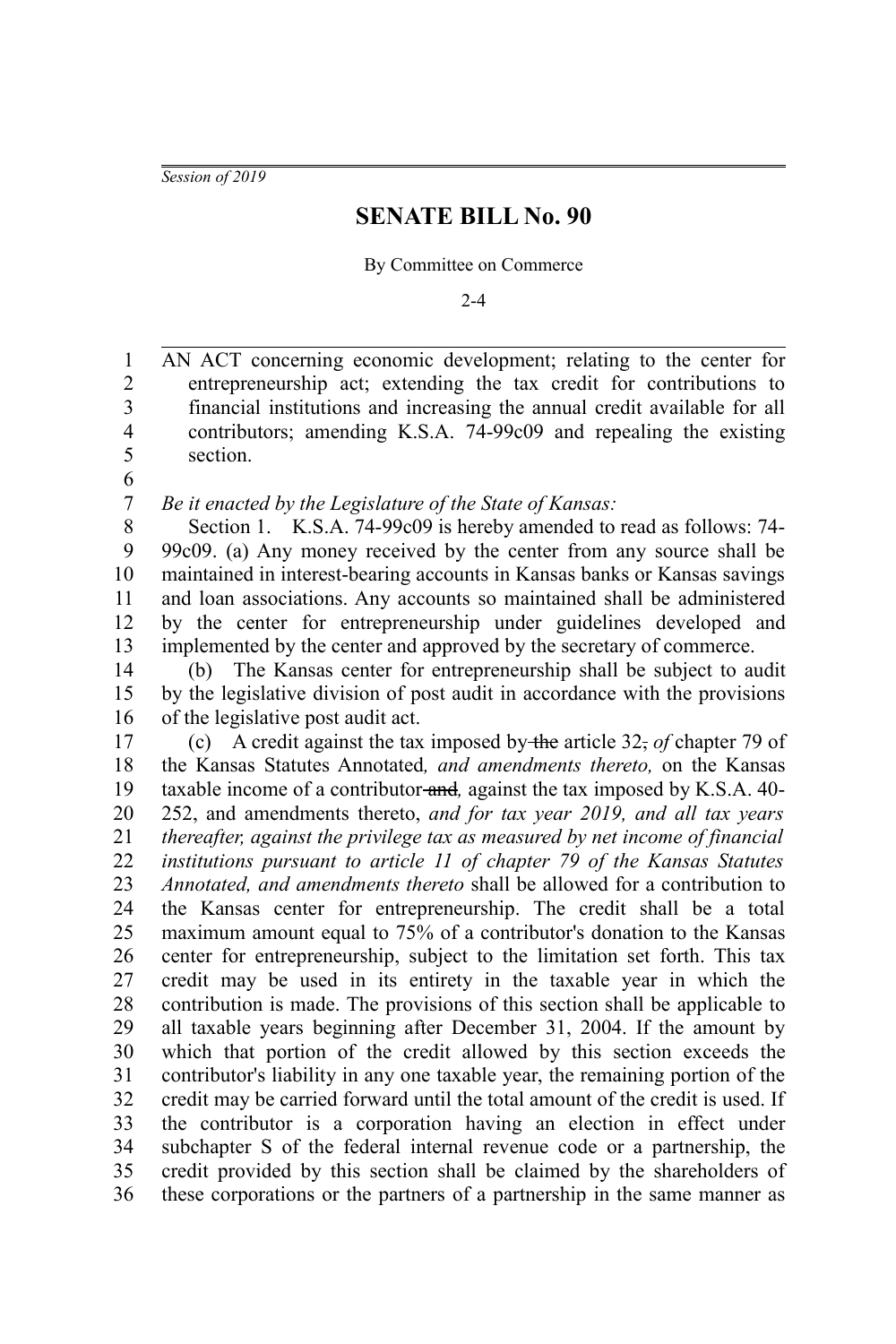*Session of 2019*

## **SENATE BILL No. 90**

By Committee on Commerce

 $2 - 4$ 

AN ACT concerning economic development; relating to the center for entrepreneurship act; extending the tax credit for contributions to financial institutions and increasing the annual credit available for all contributors; amending K.S.A. 74-99c09 and repealing the existing section. 1 2 3 4 5

6

*Be it enacted by the Legislature of the State of Kansas:* 7

Section 1. K.S.A. 74-99c09 is hereby amended to read as follows: 74- 99c09. (a) Any money received by the center from any source shall be maintained in interest-bearing accounts in Kansas banks or Kansas savings and loan associations. Any accounts so maintained shall be administered by the center for entrepreneurship under guidelines developed and implemented by the center and approved by the secretary of commerce. 8 9 10 11 12 13

(b) The Kansas center for entrepreneurship shall be subject to audit by the legislative division of post audit in accordance with the provisions of the legislative post audit act. 14 15 16

(c) A credit against the tax imposed by the article 32, *of* chapter 79 of the Kansas Statutes Annotated*, and amendments thereto,* on the Kansas taxable income of a contributor and*,* against the tax imposed by K.S.A. 40- 252, and amendments thereto, *and for tax year 2019, and all tax years thereafter, against the privilege tax as measured by net income of financial institutions pursuant to article 11 of chapter 79 of the Kansas Statutes Annotated, and amendments thereto* shall be allowed for a contribution to the Kansas center for entrepreneurship. The credit shall be a total maximum amount equal to 75% of a contributor's donation to the Kansas center for entrepreneurship, subject to the limitation set forth. This tax credit may be used in its entirety in the taxable year in which the contribution is made. The provisions of this section shall be applicable to all taxable years beginning after December 31, 2004. If the amount by which that portion of the credit allowed by this section exceeds the contributor's liability in any one taxable year, the remaining portion of the credit may be carried forward until the total amount of the credit is used. If the contributor is a corporation having an election in effect under subchapter S of the federal internal revenue code or a partnership, the credit provided by this section shall be claimed by the shareholders of these corporations or the partners of a partnership in the same manner as 17 18 19 20 21 22 23 24 25 26 27 28 29 30 31 32 33 34 35 36